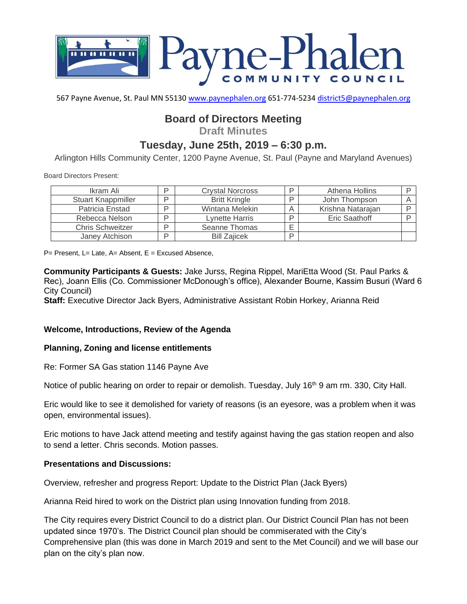

567 Payne Avenue, St. Paul MN 55130 [www.paynephalen.org](http://www.paynephalen.org/) 651-774-5234 [district5@paynephalen.org](mailto:district5@paynephalen.org)

# **Board of Directors Meeting**

**Draft Minutes**

## **Tuesday, June 25th, 2019 – 6:30 p.m.**

Arlington Hills Community Center, 1200 Payne Avenue, St. Paul (Payne and Maryland Avenues)

Board Directors Present:

| Ikram Ali                 | D | <b>Crystal Norcross</b> | D | Athena Hollins    |  |
|---------------------------|---|-------------------------|---|-------------------|--|
| <b>Stuart Knappmiller</b> | ח | <b>Britt Kringle</b>    | D | John Thompson     |  |
| Patricia Enstad           | ח | Wintana Melekin         |   | Krishna Natarajan |  |
| Rebecca Nelson            | D | Lynette Harris          | D | Eric Saathoff     |  |
| <b>Chris Schweitzer</b>   | D | Seanne Thomas           | – |                   |  |
| Janey Atchison            | ח | <b>Bill Zaiicek</b>     | D |                   |  |

 $P=$  Present, L= Late, A= Absent, E = Excused Absence,

**Community Participants & Guests:** Jake Jurss, Regina Rippel, MariEtta Wood (St. Paul Parks & Rec), Joann Ellis (Co. Commissioner McDonough's office), Alexander Bourne, Kassim Busuri (Ward 6 City Council)

**Staff:** Executive Director Jack Byers, Administrative Assistant Robin Horkey, Arianna Reid

#### **Welcome, Introductions, Review of the Agenda**

#### **Planning, Zoning and license entitlements**

Re: Former SA Gas station 1146 Payne Ave

Notice of public hearing on order to repair or demolish. Tuesday, July 16<sup>th</sup> 9 am rm. 330, City Hall.

Eric would like to see it demolished for variety of reasons (is an eyesore, was a problem when it was open, environmental issues).

Eric motions to have Jack attend meeting and testify against having the gas station reopen and also to send a letter. Chris seconds. Motion passes.

#### **Presentations and Discussions:**

Overview, refresher and progress Report: Update to the District Plan (Jack Byers)

Arianna Reid hired to work on the District plan using Innovation funding from 2018.

The City requires every District Council to do a district plan. Our District Council Plan has not been updated since 1970's. The District Council plan should be commiserated with the City's Comprehensive plan (this was done in March 2019 and sent to the Met Council) and we will base our plan on the city's plan now.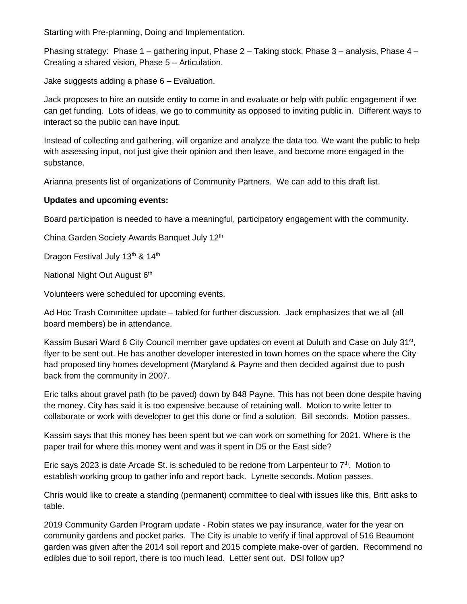Starting with Pre-planning, Doing and Implementation.

Phasing strategy: Phase 1 – gathering input, Phase 2 – Taking stock, Phase 3 – analysis, Phase 4 – Creating a shared vision, Phase 5 – Articulation.

Jake suggests adding a phase 6 – Evaluation.

Jack proposes to hire an outside entity to come in and evaluate or help with public engagement if we can get funding. Lots of ideas, we go to community as opposed to inviting public in. Different ways to interact so the public can have input.

Instead of collecting and gathering, will organize and analyze the data too. We want the public to help with assessing input, not just give their opinion and then leave, and become more engaged in the substance.

Arianna presents list of organizations of Community Partners. We can add to this draft list.

### **Updates and upcoming events:**

Board participation is needed to have a meaningful, participatory engagement with the community.

China Garden Society Awards Banquet July 12<sup>th</sup>

Dragon Festival July 13<sup>th</sup> & 14<sup>th</sup>

National Night Out August 6<sup>th</sup>

Volunteers were scheduled for upcoming events.

Ad Hoc Trash Committee update – tabled for further discussion. Jack emphasizes that we all (all board members) be in attendance.

Kassim Busari Ward 6 City Council member gave updates on event at Duluth and Case on July 31<sup>st</sup>, flyer to be sent out. He has another developer interested in town homes on the space where the City had proposed tiny homes development (Maryland & Payne and then decided against due to push back from the community in 2007.

Eric talks about gravel path (to be paved) down by 848 Payne. This has not been done despite having the money. City has said it is too expensive because of retaining wall. Motion to write letter to collaborate or work with developer to get this done or find a solution. Bill seconds. Motion passes.

Kassim says that this money has been spent but we can work on something for 2021. Where is the paper trail for where this money went and was it spent in D5 or the East side?

Eric says 2023 is date Arcade St. is scheduled to be redone from Larpenteur to 7<sup>th</sup>. Motion to establish working group to gather info and report back. Lynette seconds. Motion passes.

Chris would like to create a standing (permanent) committee to deal with issues like this, Britt asks to table.

2019 Community Garden Program update - Robin states we pay insurance, water for the year on community gardens and pocket parks. The City is unable to verify if final approval of 516 Beaumont garden was given after the 2014 soil report and 2015 complete make-over of garden. Recommend no edibles due to soil report, there is too much lead. Letter sent out. DSI follow up?